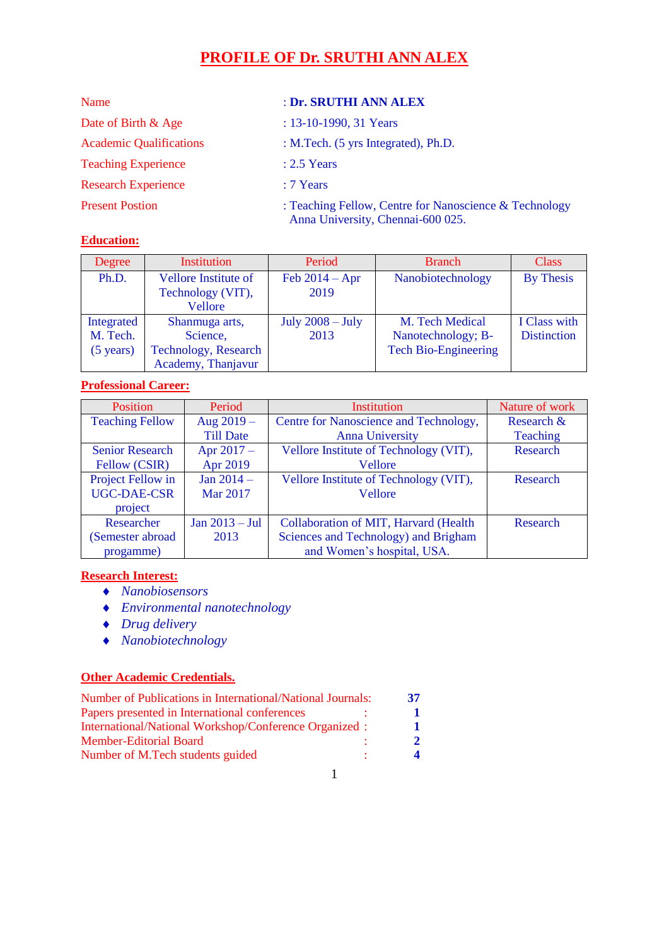# **PROFILE OF Dr. SRUTHI ANN ALEX**

| Name                           | : Dr. SRUTHI ANN ALEX                                                                       |
|--------------------------------|---------------------------------------------------------------------------------------------|
| Date of Birth & Age            | : $13-10-1990$ , $31$ Years                                                                 |
| <b>Academic Qualifications</b> | : M.Tech. (5 yrs Integrated), Ph.D.                                                         |
| <b>Teaching Experience</b>     | $: 2.5$ Years                                                                               |
| <b>Research Experience</b>     | $: 7$ Years                                                                                 |
| <b>Present Postion</b>         | : Teaching Fellow, Centre for Nanoscience & Technology<br>Anna University, Chennai-600 025. |

## **Education:**

| Degree              | Institution                 | Period             | <b>Branch</b>               | Class              |
|---------------------|-----------------------------|--------------------|-----------------------------|--------------------|
| Ph.D.               | <b>Vellore Institute of</b> | Feb $2014 - Apr$   | Nanobiotechnology           | By Thesis          |
|                     | Technology (VIT),           | 2019               |                             |                    |
|                     | Vellore                     |                    |                             |                    |
| Integrated          | Shanmuga arts,              | July $2008 -$ July | M. Tech Medical             | I Class with       |
| M. Tech.            | Science,                    | 2013               | Nanotechnology; B-          | <b>Distinction</b> |
| $(5 \text{ years})$ | <b>Technology, Research</b> |                    | <b>Tech Bio-Engineering</b> |                    |
|                     | Academy, Thanjavur          |                    |                             |                    |

## **Professional Career:**

| <b>Position</b>        | Period           | Institution                            | Nature of work  |
|------------------------|------------------|----------------------------------------|-----------------|
| <b>Teaching Fellow</b> | Aug 2019 -       | Centre for Nanoscience and Technology, | Research &      |
|                        | <b>Till Date</b> | <b>Anna University</b>                 | <b>Teaching</b> |
| <b>Senior Research</b> | Apr $2017 -$     | Vellore Institute of Technology (VIT), | Research        |
| Fellow (CSIR)          | Apr 2019         | <b>Vellore</b>                         |                 |
| Project Fellow in      | Jan $2014 -$     | Vellore Institute of Technology (VIT), | Research        |
| <b>UGC-DAE-CSR</b>     | <b>Mar 2017</b>  | <b>Vellore</b>                         |                 |
| project                |                  |                                        |                 |
| Researcher             | Jan $2013 - Jul$ | Collaboration of MIT, Harvard (Health  | Research        |
| (Semester abroad       | 2013             | Sciences and Technology) and Brigham   |                 |
| progamme)              |                  | and Women's hospital, USA.             |                 |

# **Research Interest:**

- *Nanobiosensors*
- *Environmental nanotechnology*
- *Drug delivery*
- *Nanobiotechnology*

## **Other Academic Credentials.**

| Number of Publications in International/National Journals: |  |  |
|------------------------------------------------------------|--|--|
| Papers presented in International conferences              |  |  |
| International/National Workshop/Conference Organized :     |  |  |
| <b>Member-Editorial Board</b>                              |  |  |
| Number of M.Tech students guided                           |  |  |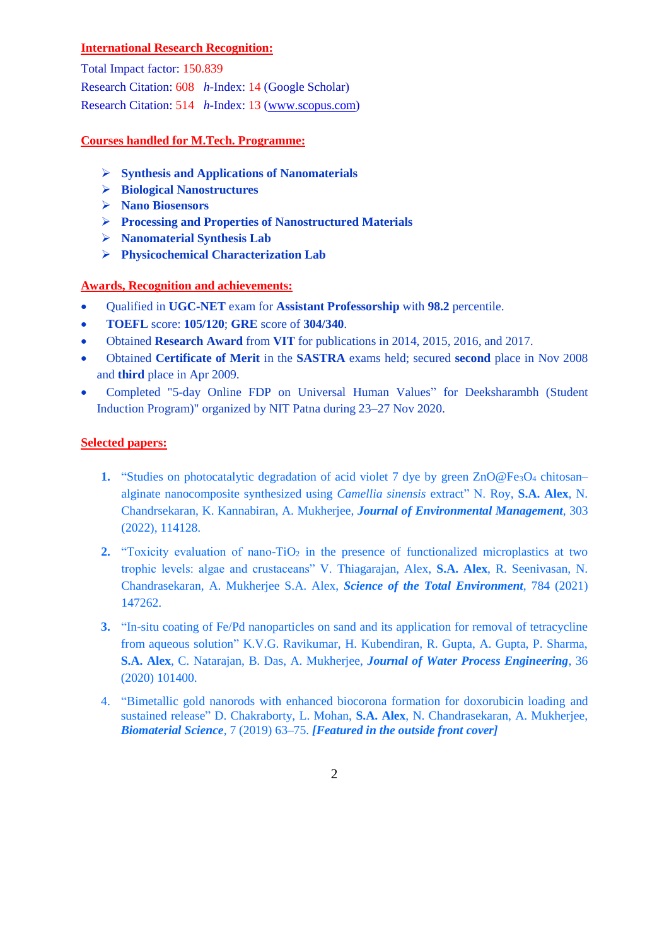#### **International Research Recognition:**

Total Impact factor: 150.839 Research Citation: 608 *h*-Index: 14 (Google Scholar) Research Citation: 514 *h*-Index: 13 [\(www.scopus.com\)](http://www.scopus.com/)

## **Courses handled for M.Tech. Programme:**

- **Synthesis and Applications of Nanomaterials**
- **Biological Nanostructures**
- **Nano Biosensors**
- **Processing and Properties of Nanostructured Materials**
- **Nanomaterial Synthesis Lab**
- **Physicochemical Characterization Lab**

## **Awards, Recognition and achievements:**

- Qualified in **UGC-NET** exam for **Assistant Professorship** with **98.2** percentile.
- **TOEFL** score: **105/120**; **GRE** score of **304/340**.
- Obtained **Research Award** from **VIT** for publications in 2014, 2015, 2016, and 2017.
- Obtained **Certificate of Merit** in the **SASTRA** exams held; secured **second** place in Nov 2008 and **third** place in Apr 2009.
- Completed "5-day Online FDP on Universal Human Values" for Deeksharambh (Student Induction Program)" organized by NIT Patna during 23–27 Nov 2020.

## **Selected papers:**

- **1.** "Studies on photocatalytic degradation of acid violet 7 dye by green ZnO@Fe<sub>3</sub>O<sub>4</sub> chitosan– alginate nanocomposite synthesized using *Camellia sinensis* extract" N. Roy, **S.A. Alex**, N. Chandrsekaran, K. Kannabiran, A. Mukherjee, *Journal of Environmental Management*, 303 (2022), 114128.
- **2.** "Toxicity evaluation of nano-TiO<sub>2</sub> in the presence of functionalized microplastics at two trophic levels: algae and crustaceans" V. Thiagarajan, Alex, **S.A. Alex**, R. Seenivasan, N. Chandrasekaran, A. Mukherjee S.A. Alex, *Science of the Total Environment*, 784 (2021) 147262.
- **3.** "In-situ coating of Fe/Pd nanoparticles on sand and its application for removal of tetracycline from aqueous solution" K.V.G. Ravikumar, H. Kubendiran, R. Gupta, A. Gupta, P. Sharma, **S.A. Alex**, C. Natarajan, B. Das, A. Mukherjee, *Journal of Water Process Engineering*, 36 (2020) 101400.
- 4. "Bimetallic gold nanorods with enhanced biocorona formation for doxorubicin loading and sustained release" D. Chakraborty, L. Mohan, **S.A. Alex**, N. Chandrasekaran, A. Mukherjee, *Biomaterial Science*, 7 (2019) 63–75. *[Featured in the outside front cover]*